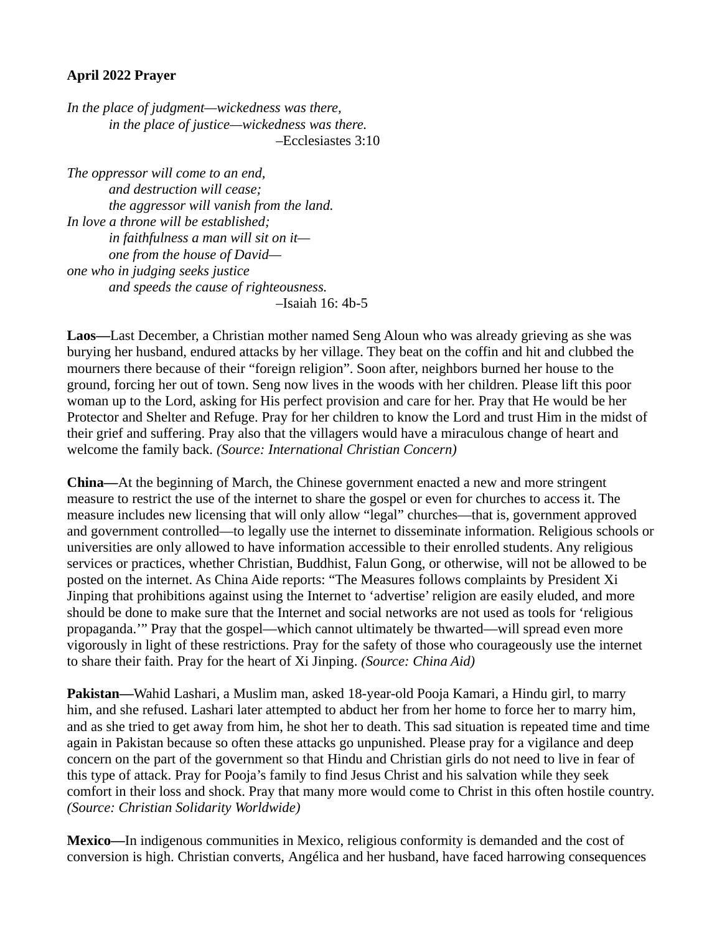## **April 2022 Prayer**

*In the place of judgment—wickedness was there, in the place of justice—wickedness was there.* –Ecclesiastes 3:10

*The oppressor will come to an end, and destruction will cease; the aggressor will vanish from the land. In love a throne will be established; in faithfulness a man will sit on it one from the house of David one who in judging seeks justice and speeds the cause of righteousness.* –Isaiah 16: 4b-5

**Laos—**Last December, a Christian mother named Seng Aloun who was already grieving as she was burying her husband, endured attacks by her village. They beat on the coffin and hit and clubbed the mourners there because of their "foreign religion". Soon after, neighbors burned her house to the ground, forcing her out of town. Seng now lives in the woods with her children. Please lift this poor woman up to the Lord, asking for His perfect provision and care for her. Pray that He would be her Protector and Shelter and Refuge. Pray for her children to know the Lord and trust Him in the midst of their grief and suffering. Pray also that the villagers would have a miraculous change of heart and welcome the family back. *(Source: International Christian Concern)*

**China—**At the beginning of March, the Chinese government enacted a new and more stringent measure to restrict the use of the internet to share the gospel or even for churches to access it. The measure includes new licensing that will only allow "legal" churches—that is, government approved and government controlled—to legally use the internet to disseminate information. Religious schools or universities are only allowed to have information accessible to their enrolled students. Any religious services or practices, whether Christian, Buddhist, Falun Gong, or otherwise, will not be allowed to be posted on the internet. As China Aide reports: "The Measures follows complaints by President Xi Jinping that prohibitions against using the Internet to 'advertise' religion are easily eluded, and more should be done to make sure that the Internet and social networks are not used as tools for 'religious propaganda.'" Pray that the gospel—which cannot ultimately be thwarted—will spread even more vigorously in light of these restrictions. Pray for the safety of those who courageously use the internet to share their faith. Pray for the heart of Xi Jinping. *(Source: China Aid)*

**Pakistan—**Wahid Lashari, a Muslim man, asked 18-year-old Pooja Kamari, a Hindu girl, to marry him, and she refused. Lashari later attempted to abduct her from her home to force her to marry him, and as she tried to get away from him, he shot her to death. This sad situation is repeated time and time again in Pakistan because so often these attacks go unpunished. Please pray for a vigilance and deep concern on the part of the government so that Hindu and Christian girls do not need to live in fear of this type of attack. Pray for Pooja's family to find Jesus Christ and his salvation while they seek comfort in their loss and shock. Pray that many more would come to Christ in this often hostile country. *(Source: Christian Solidarity Worldwide)*

**Mexico—**In indigenous communities in Mexico, religious conformity is demanded and the cost of conversion is high. Christian converts, Angélica and her husband, have faced harrowing consequences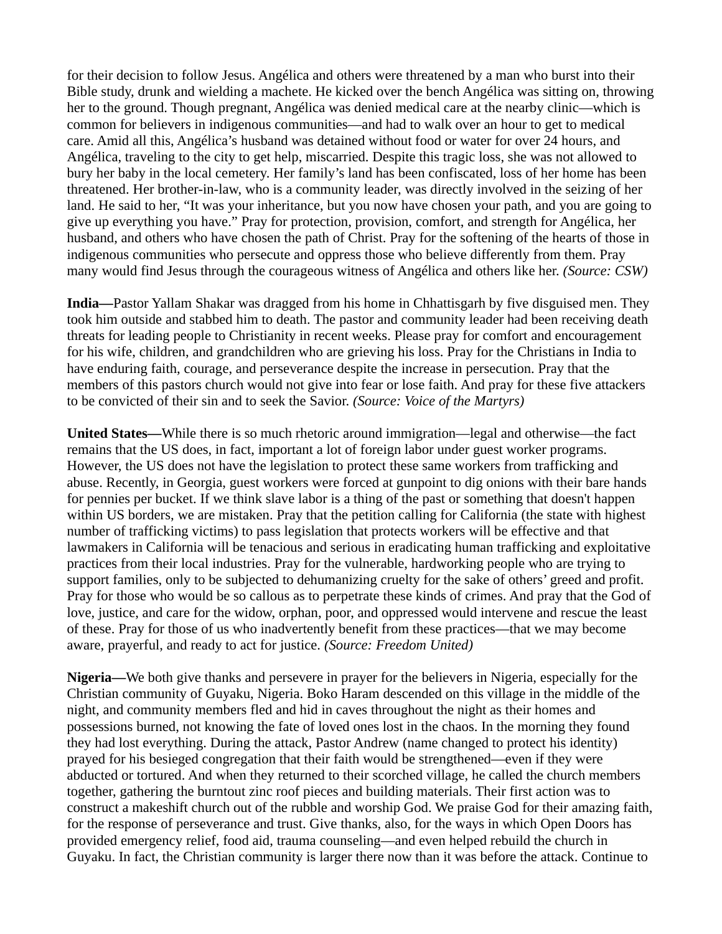for their decision to follow Jesus. Angélica and others were threatened by a man who burst into their Bible study, drunk and wielding a machete. He kicked over the bench Angélica was sitting on, throwing her to the ground. Though pregnant, Angélica was denied medical care at the nearby clinic—which is common for believers in indigenous communities—and had to walk over an hour to get to medical care. Amid all this, Angélica's husband was detained without food or water for over 24 hours, and Angélica, traveling to the city to get help, miscarried. Despite this tragic loss, she was not allowed to bury her baby in the local cemetery. Her family's land has been confiscated, loss of her home has been threatened. Her brother-in-law, who is a community leader, was directly involved in the seizing of her land. He said to her, "It was your inheritance, but you now have chosen your path, and you are going to give up everything you have." Pray for protection, provision, comfort, and strength for Angélica, her husband, and others who have chosen the path of Christ. Pray for the softening of the hearts of those in indigenous communities who persecute and oppress those who believe differently from them. Pray many would find Jesus through the courageous witness of Angélica and others like her. *(Source: CSW)*

**India—**Pastor Yallam Shakar was dragged from his home in Chhattisgarh by five disguised men. They took him outside and stabbed him to death. The pastor and community leader had been receiving death threats for leading people to Christianity in recent weeks. Please pray for comfort and encouragement for his wife, children, and grandchildren who are grieving his loss. Pray for the Christians in India to have enduring faith, courage, and perseverance despite the increase in persecution. Pray that the members of this pastors church would not give into fear or lose faith. And pray for these five attackers to be convicted of their sin and to seek the Savior. *(Source: Voice of the Martyrs)*

**United States—**While there is so much rhetoric around immigration—legal and otherwise—the fact remains that the US does, in fact, important a lot of foreign labor under guest worker programs. However, the US does not have the legislation to protect these same workers from trafficking and abuse. Recently, in Georgia, guest workers were forced at gunpoint to dig onions with their bare hands for pennies per bucket. If we think slave labor is a thing of the past or something that doesn't happen within US borders, we are mistaken. Pray that the petition calling for California (the state with highest number of trafficking victims) to pass legislation that protects workers will be effective and that lawmakers in California will be tenacious and serious in eradicating human trafficking and exploitative practices from their local industries. Pray for the vulnerable, hardworking people who are trying to support families, only to be subjected to dehumanizing cruelty for the sake of others' greed and profit. Pray for those who would be so callous as to perpetrate these kinds of crimes. And pray that the God of love, justice, and care for the widow, orphan, poor, and oppressed would intervene and rescue the least of these. Pray for those of us who inadvertently benefit from these practices—that we may become aware, prayerful, and ready to act for justice. *(Source: Freedom United)*

**Nigeria—**We both give thanks and persevere in prayer for the believers in Nigeria, especially for the Christian community of Guyaku, Nigeria. Boko Haram descended on this village in the middle of the night, and community members fled and hid in caves throughout the night as their homes and possessions burned, not knowing the fate of loved ones lost in the chaos. In the morning they found they had lost everything. During the attack, Pastor Andrew (name changed to protect his identity) prayed for his besieged congregation that their faith would be strengthened—even if they were abducted or tortured. And when they returned to their scorched village, he called the church members together, gathering the burntout zinc roof pieces and building materials. Their first action was to construct a makeshift church out of the rubble and worship God. We praise God for their amazing faith, for the response of perseverance and trust. Give thanks, also, for the ways in which Open Doors has provided emergency relief, food aid, trauma counseling—and even helped rebuild the church in Guyaku. In fact, the Christian community is larger there now than it was before the attack. Continue to